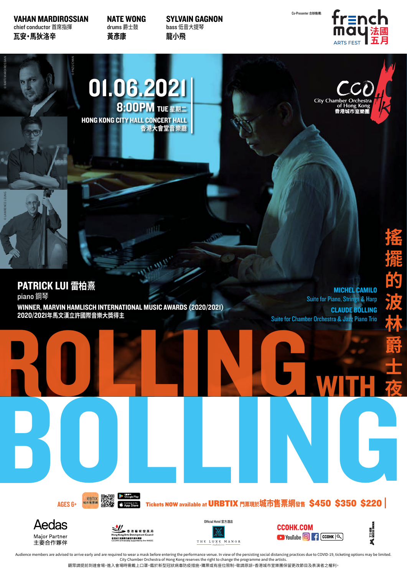VAHAN MARDIROSSIAN chief conductor 首席指揮 **瓦安‧馬狄洛辛**

© LAWRENCE LEUNG © RAFFI MARDIROSSIAN

© PAZU CHAN

NATE WONG drums 爵士鼓 **黃彥康** 

SYLVAIN GAGNON bass 低音大提琴 **龍小飛**

Co-Presenter 合辦機構:

City Chambe

香港城市<br>室樂



01.06.2021 8:00PM TUE **星期二** HONG KONG CITY HALL CONCERT HALL **香港大會堂音樂廳**

PATRICK LUI **雷柏熹** piano 鋼琴

WINNER, MARVIN HAMLISCH INTERNATIONAL MUSIC AWARDS (2020/2021) 2020/2021**年馬文漢立許國際音樂大獎得主**

ROLLING WITH MICHEL CAMILO Suite for Piano, Strings & Harp CLAUDE BOLLING Suite for Chamber Orchestra & Jazz Piano Trio

AGES 6+ AGES 6+







**Later Seconds 2008**<br>
Tickets NOW available at URBTIX 門票現於城市售票網發售 \$450

Tickets NOW available at URBTIX 門票現於城市售票網發售 \$450 \$350 \$220





GREEN<br>GREEN<br>S350 \$220 |

**搖**

**擺**

**的**

**波**

**林**

**爵**

**士**

**夜**

Audience members are advised to arrive early and are required to wear a mask before entering the performance venue. In view of the persisting social distancing practices due to COVID-19, ticketing options may be limited. City Chamber Orchestra of Hong Kong reserves the right to change the programme and the artists.

觀眾請提前到達會場,進入會場時需戴上口罩。鑑於新型冠狀病毒防疫措施,購票或有座位限制,敬請原諒。香港城市室樂團保留更改節目及表演者之權利。